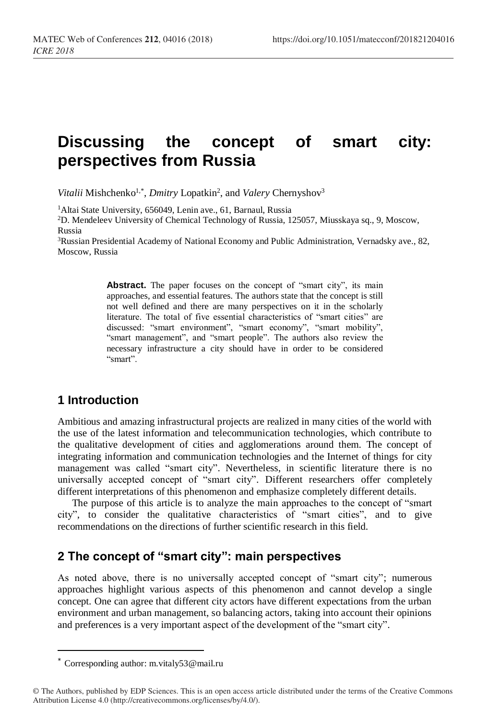# **Discussing the concept of smart city: perspectives from Russia**

Vitalii Mishchenko<sup>1,\*</sup>, *Dmitry* Lopatkin<sup>2</sup>, and *Valery* Chernyshov<sup>3</sup>

<sup>1</sup>Altai State University, 656049, Lenin ave., 61, Barnaul, Russia

<sup>2</sup>D. Mendeleev University of Chemical Technology of Russia, 125057, Miusskaya sq., 9, Moscow, Russia

<sup>3</sup>Russian Presidential Academy of National Economy and Public Administration, Vernadsky ave., 82, Moscow, Russia

> Abstract. The paper focuses on the concept of "smart city", its main approaches, and essential features. The authors state that the concept is still not well defined and there are many perspectives on it in the scholarly literature. The total of five essential characteristics of "smart cities" are discussed: "smart environment", "smart economy", "smart mobility", "smart management", and "smart people". The authors also review the necessary infrastructure a city should have in order to be considered "smart".

## **1 Introduction**

Ambitious and amazing infrastructural projects are realized in many cities of the world with the use of the latest information and telecommunication technologies, which contribute to the qualitative development of cities and agglomerations around them. The concept of integrating information and communication technologies and the Internet of things for city management was called "smart city". Nevertheless, in scientific literature there is no universally accepted concept of "smart city". Different researchers offer completely different interpretations of this phenomenon and emphasize completely different details.

The purpose of this article is to analyze the main approaches to the concept of "smart city", to consider the qualitative characteristics of "smart cities", and to give recommendations on the directions of further scientific research in this field.

## **2 The concept of "smart city": main perspectives**

As noted above, there is no universally accepted concept of "smart city"; numerous approaches highlight various aspects of this phenomenon and cannot develop a single concept. One can agree that different city actors have different expectations from the urban environment and urban management, so balancing actors, taking into account their opinions and preferences is a very important aspect of the development of the "smart city".

 $\overline{a}$ 

<sup>\*</sup> Corresponding author: m.vitaly53@mail.ru

<sup>©</sup> The Authors, published by EDP Sciences. This is an open access article distributed under the terms of the Creative Commons Attribution License 4.0 (http://creativecommons.org/licenses/by/4.0/).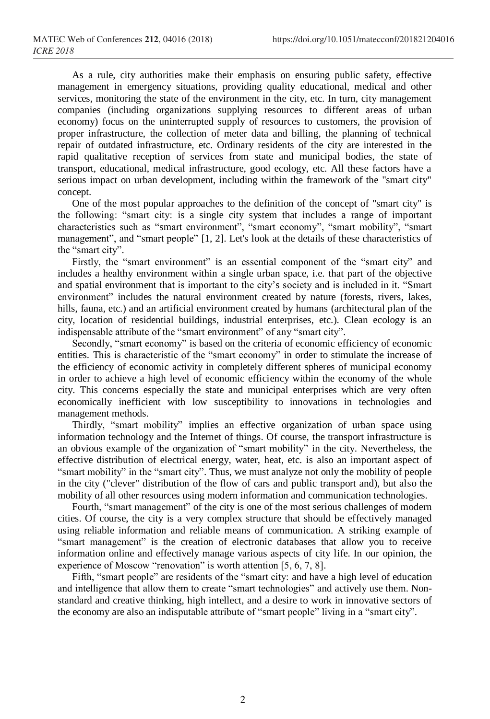As a rule, city authorities make their emphasis on ensuring public safety, effective management in emergency situations, providing quality educational, medical and other services, monitoring the state of the environment in the city, etc. In turn, city management companies (including organizations supplying resources to different areas of urban economy) focus on the uninterrupted supply of resources to customers, the provision of proper infrastructure, the collection of meter data and billing, the planning of technical repair of outdated infrastructure, etc. Ordinary residents of the city are interested in the rapid qualitative reception of services from state and municipal bodies, the state of transport, educational, medical infrastructure, good ecology, etc. All these factors have a serious impact on urban development, including within the framework of the "smart city" concept.

One of the most popular approaches to the definition of the concept of "smart city" is the following: "smart city: is a single city system that includes a range of important characteristics such as "smart environment", "smart economy", "smart mobility", "smart management", and "smart people" [1, 2]. Let's look at the details of these characteristics of the "smart city".

Firstly, the "smart environment" is an essential component of the "smart city" and includes a healthy environment within a single urban space, i.e. that part of the objective and spatial environment that is important to the city's society and is included in it. "Smart environment" includes the natural environment created by nature (forests, rivers, lakes, hills, fauna, etc.) and an artificial environment created by humans (architectural plan of the city, location of residential buildings, industrial enterprises, etc.). Clean ecology is an indispensable attribute of the "smart environment" of any "smart city".

Secondly, "smart economy" is based on the criteria of economic efficiency of economic entities. This is characteristic of the "smart economy" in order to stimulate the increase of the efficiency of economic activity in completely different spheres of municipal economy in order to achieve a high level of economic efficiency within the economy of the whole city. This concerns especially the state and municipal enterprises which are very often economically inefficient with low susceptibility to innovations in technologies and management methods.

Thirdly, "smart mobility" implies an effective organization of urban space using information technology and the Internet of things. Of course, the transport infrastructure is an obvious example of the organization of "smart mobility" in the city. Nevertheless, the effective distribution of electrical energy, water, heat, etc. is also an important aspect of "smart mobility" in the "smart city". Thus, we must analyze not only the mobility of people in the city ("clever" distribution of the flow of cars and public transport and), but also the mobility of all other resources using modern information and communication technologies.

Fourth, "smart management" of the city is one of the most serious challenges of modern cities. Of course, the city is a very complex structure that should be effectively managed using reliable information and reliable means of communication. A striking example of "smart management" is the creation of electronic databases that allow you to receive information online and effectively manage various aspects of city life. In our opinion, the experience of Moscow "renovation" is worth attention [5, 6, 7, 8].

Fifth, "smart people" are residents of the "smart city: and have a high level of education and intelligence that allow them to create "smart technologies" and actively use them. Nonstandard and creative thinking, high intellect, and a desire to work in innovative sectors of the economy are also an indisputable attribute of "smart people" living in a "smart city".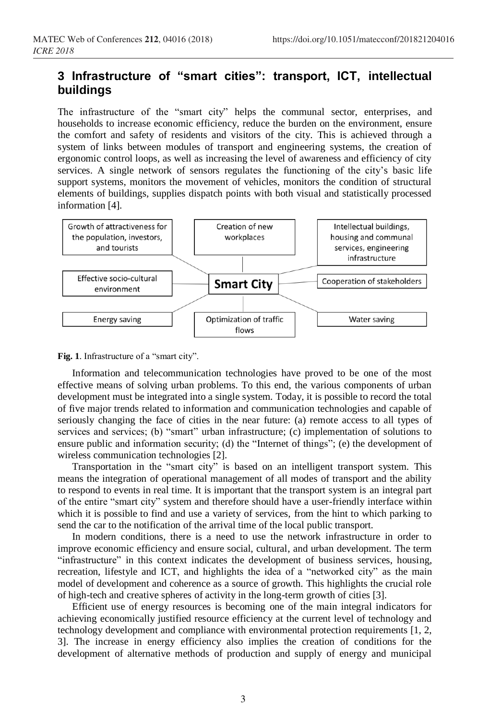## **3 Infrastructure of "smart cities": transport, ICT, intellectual buildings**

The infrastructure of the "smart city" helps the communal sector, enterprises, and households to increase economic efficiency, reduce the burden on the environment, ensure the comfort and safety of residents and visitors of the city. This is achieved through a system of links between modules of transport and engineering systems, the creation of ergonomic control loops, as well as increasing the level of awareness and efficiency of city services. A single network of sensors regulates the functioning of the city's basic life support systems, monitors the movement of vehicles, monitors the condition of structural elements of buildings, supplies dispatch points with both visual and statistically processed information [4].



**Fig. 1**. Infrastructure of a "smart city".

Information and telecommunication technologies have proved to be one of the most effective means of solving urban problems. To this end, the various components of urban development must be integrated into a single system. Today, it is possible to record the total of five major trends related to information and communication technologies and capable of seriously changing the face of cities in the near future: (a) remote access to all types of services and services; (b) "smart" urban infrastructure; (c) implementation of solutions to ensure public and information security; (d) the "Internet of things"; (e) the development of wireless communication technologies [2].

Transportation in the "smart city" is based on an intelligent transport system. This means the integration of operational management of all modes of transport and the ability to respond to events in real time. It is important that the transport system is an integral part of the entire "smart city" system and therefore should have a user-friendly interface within which it is possible to find and use a variety of services, from the hint to which parking to send the car to the notification of the arrival time of the local public transport.

In modern conditions, there is a need to use the network infrastructure in order to improve economic efficiency and ensure social, cultural, and urban development. The term "infrastructure" in this context indicates the development of business services, housing, recreation, lifestyle and ICT, and highlights the idea of a "networked city" as the main model of development and coherence as a source of growth. This highlights the crucial role of high-tech and creative spheres of activity in the long-term growth of cities [3].

Efficient use of energy resources is becoming one of the main integral indicators for achieving economically justified resource efficiency at the current level of technology and technology development and compliance with environmental protection requirements [1, 2, 3]. The increase in energy efficiency also implies the creation of conditions for the development of alternative methods of production and supply of energy and municipal